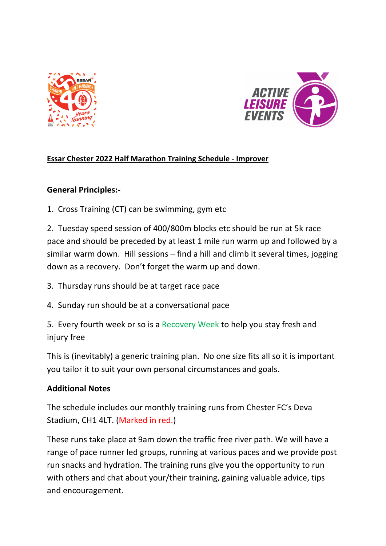



## **Essar Chester 2022 Half Marathon Training Schedule - Improver**

## **General Principles:-**

1. Cross Training (CT) can be swimming, gym etc

2. Tuesday speed session of 400/800m blocks etc should be run at 5k race pace and should be preceded by at least 1 mile run warm up and followed by a similar warm down. Hill sessions – find a hill and climb it several times, jogging down as a recovery. Don't forget the warm up and down.

- 3. Thursday runs should be at target race pace
- 4. Sunday run should be at a conversational pace

5. Every fourth week or so is a Recovery Week to help you stay fresh and injury free

This is (inevitably) a generic training plan. No one size fits all so it is important you tailor it to suit your own personal circumstances and goals.

## **Additional Notes**

The schedule includes our monthly training runs from Chester FC's Deva Stadium, CH1 4LT. (Marked in red.)

These runs take place at 9am down the traffic free river path. We will have a range of pace runner led groups, running at various paces and we provide post run snacks and hydration. The training runs give you the opportunity to run with others and chat about your/their training, gaining valuable advice, tips and encouragement.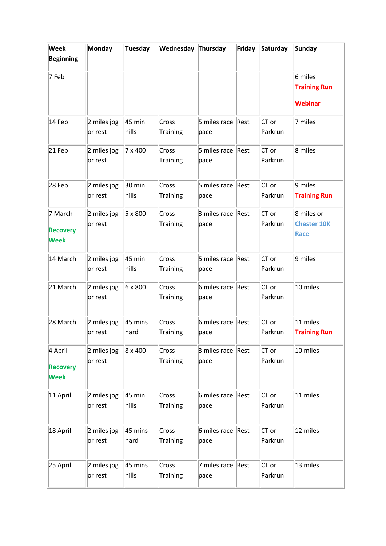| <b>Week</b><br><b>Beginning</b>           | Monday                 | Tuesday           | <b>Wednesday Thursday</b> |                           | Friday | Saturday           | Sunday                                           |
|-------------------------------------------|------------------------|-------------------|---------------------------|---------------------------|--------|--------------------|--------------------------------------------------|
| 7 Feb                                     |                        |                   |                           |                           |        |                    | 6 miles<br><b>Training Run</b><br><b>Webinar</b> |
| 14 Feb                                    | 2 miles jog<br>or rest | 45 min<br>hills   | Cross<br>Training         | 5 miles race Rest<br>pace |        | CT or<br>Parkrun   | 7 miles                                          |
| 21 Feb                                    | 2 miles jog<br>or rest | 7 x 400           | Cross<br>Training         | 5 miles race<br>pace      | Rest   | CT or<br>Parkrun   | 8 miles                                          |
| 28 Feb                                    | 2 miles jog<br>or rest | 30 min<br>hills   | Cross<br>Training         | 5 miles race Rest<br>pace |        | CT or<br>Parkrun   | 9 miles<br><b>Training Run</b>                   |
| 7 March<br><b>Recovery</b><br><b>Week</b> | 2 miles jog<br>or rest | 5 x 800           | Cross<br>Training         | 3 miles race<br>pace      | Rest   | $CT$ or<br>Parkrun | 8 miles or<br><b>Chester 10K</b><br>Race         |
| 14 March                                  | 2 miles jog<br>or rest | 45 min<br>hills   | Cross<br>Training         | 5 miles race<br>pace      | Rest   | CT or<br>Parkrun   | 9 miles                                          |
| 21 March                                  | 2 miles jog<br>or rest | 6 x 800           | Cross<br>Training         | 6 miles race Rest<br>pace |        | CT or<br>Parkrun   | 10 miles                                         |
| 28 March                                  | 2 miles jog<br>or rest | 45 mins<br>hard   | Cross<br>Training         | 6 miles race<br>pace      | Rest   | $CT$ or<br>Parkrun | 11 miles<br><b>Training Run</b>                  |
| 4 April<br><b>Recovery</b><br><b>Week</b> | 2 miles jog<br>or rest | 8 x 400           | Cross<br>Training         | 3 miles race Rest<br>pace |        | $CT$ or<br>Parkrun | 10 miles                                         |
| 11 April                                  | 2 miles jog<br>or rest | $45$ min<br>hills | Cross<br>Training         | 6 miles race Rest<br>pace |        | CT or<br>Parkrun   | 11 miles                                         |
| 18 April                                  | 2 miles jog<br>or rest | 45 mins<br>hard   | Cross<br>Training         | 6 miles race Rest<br>pace |        | CT or<br>Parkrun   | 12 miles                                         |
| 25 April                                  | 2 miles jog<br>or rest | 45 mins<br>hills  | Cross<br>Training         | 7 miles race Rest<br>pace |        | CT or<br>Parkrun   | 13 miles                                         |